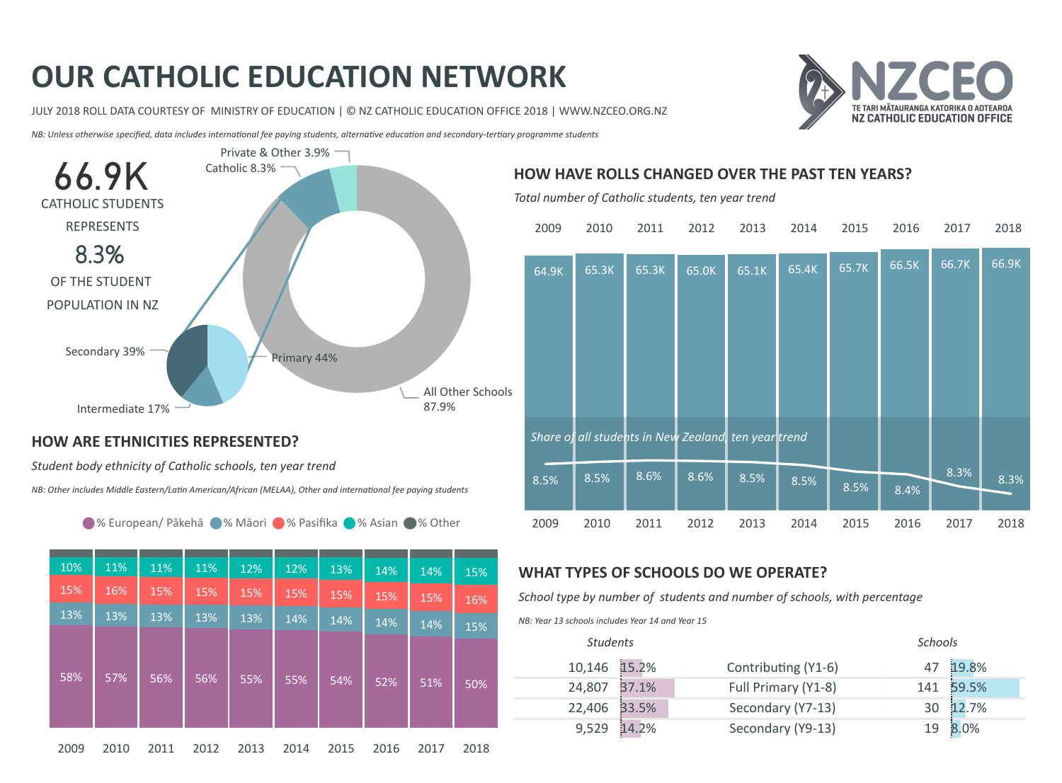# OUR CATHOLIC EDUCATION NETWORK

JULY 2018 ROLL DATA COURTESY OF MINISTRY OF EDUCATION | © NZ CATHOLIC EDUCATION OFFICE 2018 | WWW.NZCEO.ORG.NZ



NB: Unless otherwise specified, data includes international fee paying students, alternative education and secondary-tertiary programme students



#### HOW ARE ETHNICITIES REPRESENTED?

Student body ethnicity of Catholic schools, ten year trend

NB: Other includes Middle Eastern/Latin American/African (MELAA), Other and international fee paying students

● % European/ Pākehā ● % Māori ● % Pasifika ● % Asian ● % Other

| 10%  | 11%  | 11%  | 11%  | 12%  | 12%  | 13%  | 14%  | 14%  | 15%  |
|------|------|------|------|------|------|------|------|------|------|
| 15%  | 16%  | 15%  | 15%  | 15%  | 15%  | 15%  | 15%  | 15%  | 16%  |
| 13%  | 13%  | 13%  | 13%  | 13%  | 14%  | 14%  | 14%  | 14%  | 15%  |
|      |      |      |      |      |      |      |      |      |      |
|      |      |      |      |      |      |      |      |      |      |
| 58%  | 57%  | 56%  | 56%  | 55%  | 55%  | 54%  | 52%  | 51%  | 50%  |
|      |      |      |      |      |      |      |      |      |      |
|      |      |      |      |      |      |      |      |      |      |
| 2009 | 2010 | 2011 | 2012 | 2013 | 2014 | 2015 | 2016 | 2017 | 2018 |

## HOW HAVE ROLLS CHANGED OVER THE PAST TEN YEARS?

Total number of Catholic students, ten year trend

| 2009  | 2010                                                 | 2011  | 2012  | 2013  | 2014  | 2015  | 2016  | 2017  | 2018  |
|-------|------------------------------------------------------|-------|-------|-------|-------|-------|-------|-------|-------|
| 64.9K | 65.3K                                                | 65.3K | 65.0K | 65.1K | 65.4K | 65.7K | 66.5K | 66.7K | 66.9K |
|       |                                                      |       |       |       |       |       |       |       |       |
|       | Share of all students in New Zealand, ten year trend |       |       |       |       |       |       |       |       |
| 8.5%  | 8.5%                                                 | 8.6%  | 8.6%  | 8.5%  | 8.5%  | 8.5%  | 8.4%  | 8.3%  | 8.3%  |
| 2009  | 2010                                                 | 2011  | 2012  | 2013  | 2014  | 2015  | 2016  | 2017  | 2018  |

## WHAT TYPES OF SCHOOLS DO WE OPERATE?

School type by number of students and number of schools, with percentage

NB: Year 13 schools includes Year 14 and Year 15

| <b>Students</b> |       |                     | <b>Schools</b> |          |
|-----------------|-------|---------------------|----------------|----------|
| 10,146 15.2%    |       | Contributing (Y1-6) |                | 47 19.8% |
| 24,807          | 37.1% | Full Primary (Y1-8) | 141            | 59.5%    |
| 22,406          | 33.5% | Secondary (Y7-13)   | 30             | 12.7%    |
| 9,529           | 14.2% | Secondary (Y9-13)   | 19             | 8.0%     |